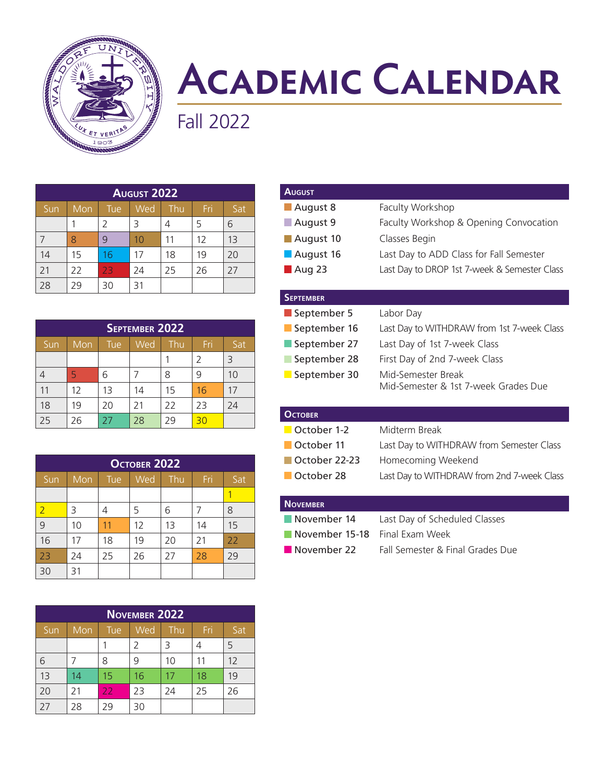

### **Academic Calendar**

Fall 2022

|     |     |     | <b>AUGUST 2022</b> |     |      |     |
|-----|-----|-----|--------------------|-----|------|-----|
| Sun | Mon | Tue | Wed                | Thu | Fri: | Sat |
|     |     | 2   | 3                  |     | 5    | 6   |
|     | 8   | 9   | 10                 | 11  | 12   | 13  |
| 14  | 15  | 16  | 17                 | 18  | 19   | 20  |
| 21  | 22  | 23  | 24                 | 25  | 26   | 27  |
| 28  | 29  | 30  | 31                 |     |      |     |

|     |     |     | SEPTEMBER 2022 |     |     |     |
|-----|-----|-----|----------------|-----|-----|-----|
| Sun | Mon | Tue | Wed            | Thu | Fri | Sat |
|     |     |     |                |     | 2   | 3   |
|     | 5   | 6   |                | 8   | 9   | 10  |
| 11  | 12  | 13  | 14             | 15  | 16  | 17  |
| 18  | 19  | 20  | 21             | 22  | 23  | 24  |
| 25  | 26  | 27  | 28             | 29  | 30  |     |

|                |     |     | OCTOBER 2022 |     |     |     |
|----------------|-----|-----|--------------|-----|-----|-----|
| Sun            | Mon | Tue | Wed          | Thu | Fri | Sat |
|                |     |     |              |     |     | 1   |
| $\overline{2}$ | 3   |     | 5            | 6   |     | 8   |
| 9              | 10  | 11  | 12           | 13  | 14  | 15  |
| 16             | 17  | 18  | 19           | 20  | 21  | 22  |
| 23             | 24  | 25  | 26           | 27  | 28  | 29  |
| 30             | 31  |     |              |     |     |     |

|     |     |     | NOVEMBER 2022 |     |      |     |
|-----|-----|-----|---------------|-----|------|-----|
| Sun | Mon | Tue | Wed           | Thu | Fri: | Sat |
|     |     |     | 2             | 3   | 4    | 5   |
| 6   |     | 8   | 9             | 10  | 11   | 12  |
| 13  | 14  | 15  | 16            | 17  | 18   | 19  |
| 20  | 21  | 22  | 23            | 24  | 25   | 26  |
| 27  | 28  | 29  | 30            |     |      |     |

| <b>AUGUST</b>    |                                              |
|------------------|----------------------------------------------|
| August 8         | Faculty Workshop                             |
| August 9         | Faculty Workshop & Opening Convocation       |
| August 10        | Classes Begin                                |
| August 16        | Last Day to ADD Class for Fall Semester      |
| Aug 23           | Last Day to DROP 1st 7-week & Semester Class |
|                  |                                              |
| <b>SEPTEMBER</b> |                                              |
| September 5      | Labor Day                                    |
| September 16     | Last Day to WITHDRAW from 1st 7-week Class   |
| September 27     | Last Day of 1st 7-week Class                 |
| September 28     | First Day of 2nd 7-week Class                |
| September 30     | Mid-Semester Break                           |
|                  | Mid-Semester & 1st 7-week Grades Due         |
|                  |                                              |
| <b>OCTOBER</b>   |                                              |
| October 1-2      | Midterm Break                                |

| LUUDEL 174    | <b>IVIIULCITII DI CAN</b>                  |
|---------------|--------------------------------------------|
| October 11    | Last Day to WITHDRAW from Semester Class   |
| October 22-23 | Homecoming Weekend                         |
| October 28    | Last Day to WITHDRAW from 2nd 7-week Class |
|               |                                            |

#### **November** November 14 Last Day of Scheduled Classes November 15-18 Final Exam Week November 22 Fall Semester & Final Grades Due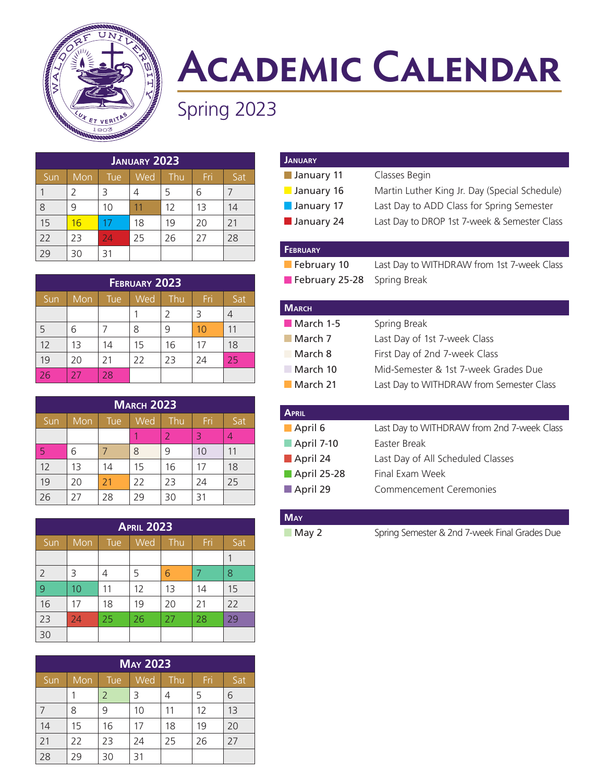

# **Academic Calendar**

### Spring 2023

|            |     |     | <b>JANUARY 2023</b> |     |            |     |
|------------|-----|-----|---------------------|-----|------------|-----|
| <b>Sun</b> | Mon | Tue | Wed                 | Thu | <b>Fri</b> | Sat |
|            |     | 3   | 4                   | 5   | 6          |     |
| 8          | 9   | 10  |                     | 12  | 13         | 14  |
| 15         | 16  | 17  | 18                  | 19  | 20         | 21  |
| 22         | 23  | 24  | 25                  | 26  | 27         | 28  |
| 29         | 30  | 31  |                     |     |            |     |

|     |     |     | <b>FEBRUARY 2023</b> |     |     |     |
|-----|-----|-----|----------------------|-----|-----|-----|
| Sun | Mon | Tue | Wed                  | Thu | Fri | Sat |
|     |     |     |                      | C,  | 3   |     |
| 5   | 6   |     | 8                    | 9   | 10  | 11  |
| 12  | 13  | 14  | 15                   | 16  | 17  | 18  |
| 19  | 20  | 21  | 22                   | 23  | 24  | 25  |
| 26  | 27  | 28  |                      |     |     |     |

|     |     |     | <b>MARCH 2023</b> |     |     |     |
|-----|-----|-----|-------------------|-----|-----|-----|
| Sun | Mon | Tue | Wed               | Thu | Fri | Sat |
|     |     |     |                   | 2   | 3   |     |
| 5   | 6   |     | 8                 | 9   | 10  | 11  |
| 12  | 13  | 14  | 15                | 16  | 17  | 18  |
| 19  | 20  | 21  | 22                | 23  | 24  | 25  |
| 26  | 27  | 28  | 29                | 30  | 31  |     |

|                |     |     | <b>APRIL 2023</b> |     |            |     |
|----------------|-----|-----|-------------------|-----|------------|-----|
| Sun            | Mon | Tue | Wed               | Thu | <b>Fri</b> | Sat |
|                |     |     |                   |     |            |     |
| $\overline{2}$ | 3   | 4   | 5                 | 6   | 7          | 8   |
| 9              | 10  | 11  | 12                | 13  | 14         | 15  |
| 16             | 17  | 18  | 19                | 20  | 21         | 22  |
| 23             | 24  | 25  | 26                | 27  | 28         | 29  |
| 30             |     |     |                   |     |            |     |

|     |     |     | <b>MAY 2023</b> |     |     |     |
|-----|-----|-----|-----------------|-----|-----|-----|
| Sun | Mon | Tue | Wed             | Thu | Fri | Sat |
|     |     | 2   | 3               | 4   | 5   | 6   |
|     | 8   | 9   | 10              | 11  | 12  | 13  |
| 14  | 15  | 16  | 17              | 18  | 19  | 20  |
| 21  | 22  | 23  | 24              | 25  | 26  | 27  |
| 28  | 29  | 30  | 31              |     |     |     |

| <b>JANUARY</b>                |                                               |
|-------------------------------|-----------------------------------------------|
| January 11                    | Classes Begin                                 |
| <b>January 16</b>             | Martin Luther King Jr. Day (Special Schedule) |
| January 17                    | Last Day to ADD Class for Spring Semester     |
| January 24                    | Last Day to DROP 1st 7-week & Semester Class  |
|                               |                                               |
| <b>FEBRUARY</b>               |                                               |
| <b>February 10</b>            | Last Day to WITHDRAW from 1st 7-week Class    |
| $\blacksquare$ February 25-28 | Spring Break                                  |
|                               |                                               |
| <b>MARCH</b>                  |                                               |
|                               |                                               |
| March 1-5                     | Spring Break                                  |
| March 7                       | Last Day of 1st 7-week Class                  |
| March 8                       | First Day of 2nd 7-week Class                 |
| March 10                      | Mid-Semester & 1st 7-week Grades Due          |
| March 21                      | Last Day to WITHDRAW from Semester Class      |
|                               |                                               |
| <b>APRIL</b>                  |                                               |
| April 6                       | Last Day to WITHDRAW from 2nd 7-week Class    |
| April 7-10                    | <b>Faster Break</b>                           |
| April 24                      | Last Day of All Scheduled Classes             |

**April 29** Commencement Ceremonies

| VIAY |
|------|
| ۳    |

ay 2 Spring Semester & 2nd 7-week Final Grades Due